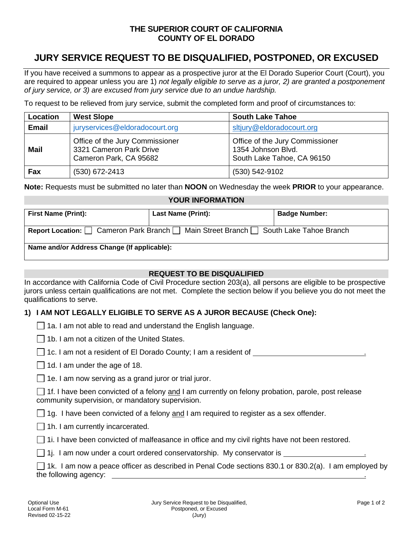# **THE SUPERIOR COURT OF CALIFORNIA COUNTY OF EL DORADO**

# **JURY SERVICE REQUEST TO BE DISQUALIFIED, POSTPONED, OR EXCUSED**

If you have received a summons to appear as a prospective juror at the El Dorado Superior Court (Court), you are required to appear unless you are 1) *not legally eligible to serve as a juror, 2) are granted a postponement of jury service, or 3) are excused from jury service due to an undue hardship.*

To request to be relieved from jury service, submit the completed form and proof of circumstances to:

| Location     | <b>West Slope</b>                                                                    | <b>South Lake Tahoe</b>                                                             |
|--------------|--------------------------------------------------------------------------------------|-------------------------------------------------------------------------------------|
| <b>Email</b> | juryservices@eldoradocourt.org                                                       | sitjury@eldoradocourt.org                                                           |
| <b>Mail</b>  | Office of the Jury Commissioner<br>3321 Cameron Park Drive<br>Cameron Park, CA 95682 | Office of the Jury Commissioner<br>1354 Johnson Blvd.<br>South Lake Tahoe, CA 96150 |
| Fax          | $(530)$ 672-2413                                                                     | (530) 542-9102                                                                      |

**Note:** Requests must be submitted no later than **NOON** on Wednesday the week **PRIOR** to your appearance.

## **YOUR INFORMATION**

| <b>First Name (Print):</b>                                                                 | <b>Last Name (Print):</b> | <b>Badge Number:</b> |  |  |  |  |  |
|--------------------------------------------------------------------------------------------|---------------------------|----------------------|--|--|--|--|--|
| <b>Report Location:</b> Cameron Park Branch   Main Street Branch   South Lake Tahoe Branch |                           |                      |  |  |  |  |  |
| Name and/or Address Change (If applicable):                                                |                           |                      |  |  |  |  |  |

## **REQUEST TO BE DISQUALIFIED**

In accordance with California Code of Civil Procedure section 203(a), all persons are eligible to be prospective jurors unless certain qualifications are not met. Complete the section below if you believe you do not meet the qualifications to serve.

# **1) I AM NOT LEGALLY ELIGIBLE TO SERVE AS A JUROR BECAUSE (Check One):**

|  |  |  | $\Box$ 1a. I am not able to read and understand the English language. |  |  |
|--|--|--|-----------------------------------------------------------------------|--|--|
|  |  |  |                                                                       |  |  |

 $\Box$  1b. I am not a citizen of the United States.

 $\Box$  1c. I am not a resident of El Dorado County; I am a resident of

 $\Box$  1d. I am under the age of 18.

 $\Box$  1e. I am now serving as a grand juror or trial juror.

 $\Box$  1f. I have been convicted of a felony and I am currently on felony probation, parole, post release community supervision, or mandatory supervision.

 $\Box$  1g. I have been convicted of a felony and I am required to register as a sex offender.

 $\Box$  1h. I am currently incarcerated.

 $\Box$  1i. I have been convicted of malfeasance in office and my civil rights have not been restored.

 $\Box$  1j. I am now under a court ordered conservatorship. My conservator is

 $\Box$  1k. I am now a peace officer as described in Penal Code sections 830.1 or 830.2(a). I am employed by the following agency: .